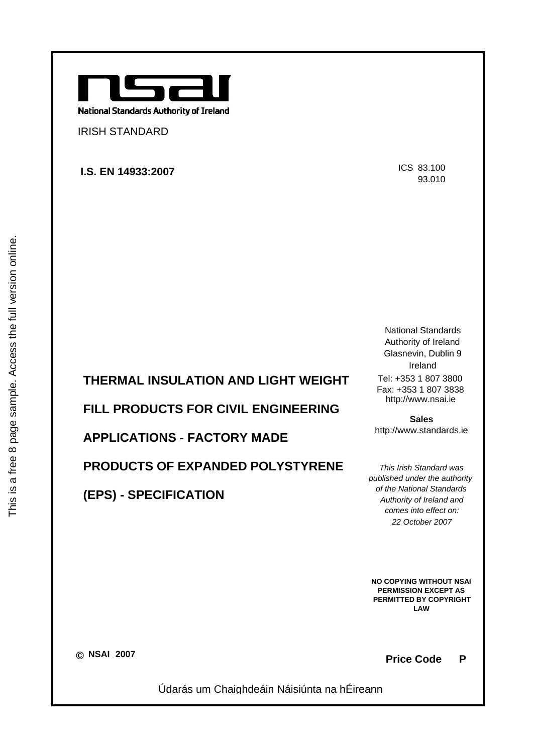

National Standards Authority of Ireland

IRISH STANDARD

#### **I.S. EN 14933:2007**

83.100 ICS 93.010

**THERMAL INSULATION AND LIGHT WEIGHT FILL PRODUCTS FOR CIVIL ENGINEERING APPLICATIONS - FACTORY MADE PRODUCTS OF EXPANDED POLYSTYRENE (EPS) - SPECIFICATION**

National Standards Authority of Ireland Glasnevin, Dublin 9 Ireland Fax: +353 1 807 3838 Tel: +353 1 807 3800 http://www.nsai.ie

**Sales** http://www.standards.ie

*22 October 2007 This Irish Standard was published under the authority of the National Standards Authority of Ireland and comes into effect on:*

**NO COPYING WITHOUT NSAI PERMISSION EXCEPT AS PERMITTED BY COPYRIGHT LAW**

This is a free 8 page sample. Access the full version online. This is a free 8 page sample. Access the full version online.

**NSAI 2007 ©**

**Price Code P**

Údarás um Chaighdeáin Náisiúnta na hÉireann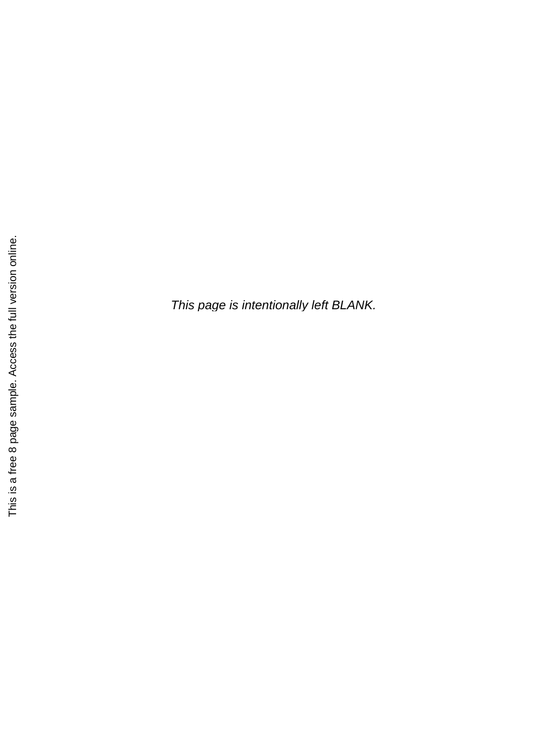*This page is intentionally left BLANK.*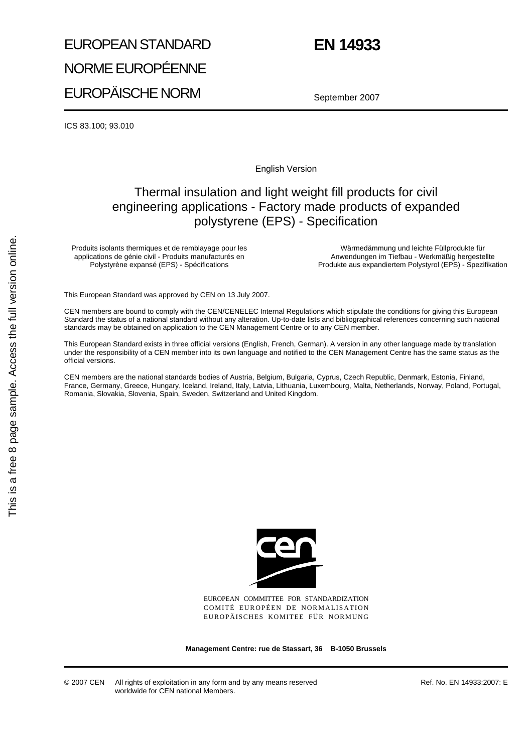# EUROPEAN STANDARD NORME EUROPÉENNE EUROPÄISCHE NORM

# **EN 14933**

September 2007

ICS 83.100; 93.010

English Version

### Thermal insulation and light weight fill products for civil engineering applications - Factory made products of expanded polystyrene (EPS) - Specification

Produits isolants thermiques et de remblayage pour les applications de génie civil - Produits manufacturés en Polystyrène expansé (EPS) - Spécifications

Wärmedämmung und leichte Füllprodukte für Anwendungen im Tiefbau - Werkmäßig hergestellte Produkte aus expandiertem Polystyrol (EPS) - Spezifikation

This European Standard was approved by CEN on 13 July 2007.

CEN members are bound to comply with the CEN/CENELEC Internal Regulations which stipulate the conditions for giving this European Standard the status of a national standard without any alteration. Up-to-date lists and bibliographical references concerning such national standards may be obtained on application to the CEN Management Centre or to any CEN member.

This European Standard exists in three official versions (English, French, German). A version in any other language made by translation under the responsibility of a CEN member into its own language and notified to the CEN Management Centre has the same status as the official versions.

CEN members are the national standards bodies of Austria, Belgium, Bulgaria, Cyprus, Czech Republic, Denmark, Estonia, Finland, France, Germany, Greece, Hungary, Iceland, Ireland, Italy, Latvia, Lithuania, Luxembourg, Malta, Netherlands, Norway, Poland, Portugal, Romania, Slovakia, Slovenia, Spain, Sweden, Switzerland and United Kingdom.



EUROPEAN COMMITTEE FOR STANDARDIZATION COMITÉ EUROPÉEN DE NORMALISATION EUROPÄISCHES KOMITEE FÜR NORMUNG

**Management Centre: rue de Stassart, 36 B-1050 Brussels**

© 2007 CEN All rights of exploitation in any form and by any means reserved worldwide for CEN national Members.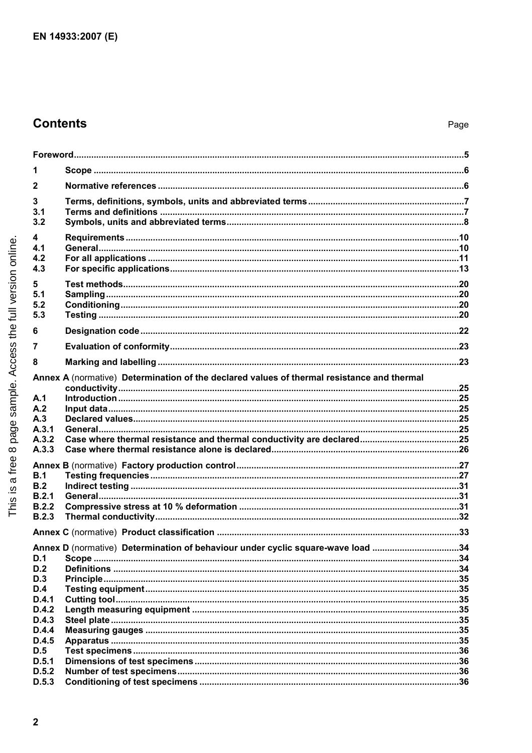## **Contents**

| 1                                            |                                                                                            |  |
|----------------------------------------------|--------------------------------------------------------------------------------------------|--|
| $\mathbf{2}$                                 |                                                                                            |  |
| 3<br>3.1<br>3.2                              |                                                                                            |  |
| $\overline{\mathbf{4}}$<br>4.1<br>4.2<br>4.3 |                                                                                            |  |
| 5.<br>5.1<br>5.2<br>5.3                      |                                                                                            |  |
| 6                                            |                                                                                            |  |
| 7                                            |                                                                                            |  |
| 8                                            |                                                                                            |  |
|                                              | Annex A (normative) Determination of the declared values of thermal resistance and thermal |  |
| A.1<br>A.2<br>A.3<br>A.3.1<br>A.3.2<br>A.3.3 |                                                                                            |  |
| B.1<br>B.2<br>B.2.1<br>B.2.2<br>B.2.3        |                                                                                            |  |
|                                              |                                                                                            |  |
| D.1<br>D.2<br>D.3                            | Annex D (normative) Determination of behaviour under cyclic square-wave load 34            |  |
| D.4<br>D.4.1<br>D.4.2<br>D.4.3               |                                                                                            |  |
| D.4.4<br>D.4.5<br>D.5                        |                                                                                            |  |
| D.5.1<br>D.5.2<br>D.5.3                      |                                                                                            |  |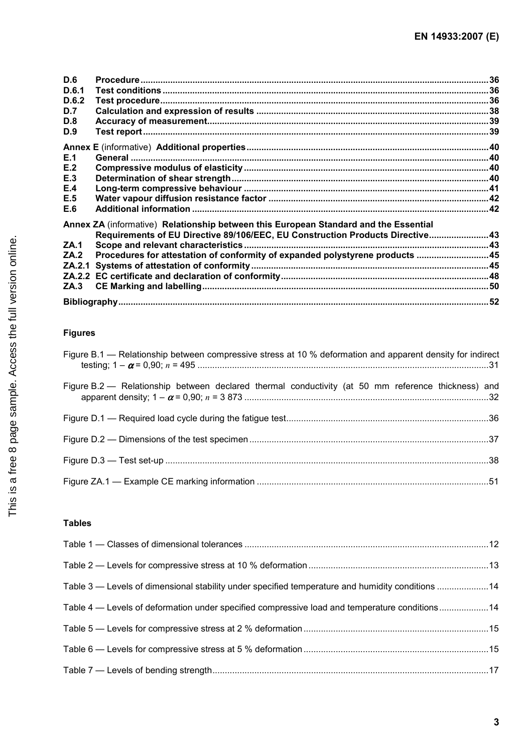| D.6.1<br>D.6.2<br><b>D.7</b><br>D.8<br>D.9<br>E.1<br>E.2<br>E.3<br>E.4<br>E.5<br>E.6<br>Annex ZA (informative) Relationship between this European Standard and the Essential<br>Requirements of EU Directive 89/106/EEC, EU Construction Products Directive43<br>ZA.1<br>Procedures for attestation of conformity of expanded polystyrene products 45<br><b>ZA.2</b><br>ZA.3 | D.6 |  |
|------------------------------------------------------------------------------------------------------------------------------------------------------------------------------------------------------------------------------------------------------------------------------------------------------------------------------------------------------------------------------|-----|--|
|                                                                                                                                                                                                                                                                                                                                                                              |     |  |
|                                                                                                                                                                                                                                                                                                                                                                              |     |  |
|                                                                                                                                                                                                                                                                                                                                                                              |     |  |
|                                                                                                                                                                                                                                                                                                                                                                              |     |  |
|                                                                                                                                                                                                                                                                                                                                                                              |     |  |
|                                                                                                                                                                                                                                                                                                                                                                              |     |  |
|                                                                                                                                                                                                                                                                                                                                                                              |     |  |
|                                                                                                                                                                                                                                                                                                                                                                              |     |  |
|                                                                                                                                                                                                                                                                                                                                                                              |     |  |
|                                                                                                                                                                                                                                                                                                                                                                              |     |  |
|                                                                                                                                                                                                                                                                                                                                                                              |     |  |
|                                                                                                                                                                                                                                                                                                                                                                              |     |  |
|                                                                                                                                                                                                                                                                                                                                                                              |     |  |
|                                                                                                                                                                                                                                                                                                                                                                              |     |  |
|                                                                                                                                                                                                                                                                                                                                                                              |     |  |
|                                                                                                                                                                                                                                                                                                                                                                              |     |  |
|                                                                                                                                                                                                                                                                                                                                                                              |     |  |
|                                                                                                                                                                                                                                                                                                                                                                              |     |  |
|                                                                                                                                                                                                                                                                                                                                                                              |     |  |
|                                                                                                                                                                                                                                                                                                                                                                              |     |  |

### **Figures**

| Figure B.1 — Relationship between compressive stress at 10 % deformation and apparent density for indirect |  |
|------------------------------------------------------------------------------------------------------------|--|
| Figure B.2 — Relationship between declared thermal conductivity (at 50 mm reference thickness) and         |  |
|                                                                                                            |  |
|                                                                                                            |  |
|                                                                                                            |  |
|                                                                                                            |  |

### **Tables**

| Table 3 — Levels of dimensional stability under specified temperature and humidity conditions  14 |  |
|---------------------------------------------------------------------------------------------------|--|
| Table 4 — Levels of deformation under specified compressive load and temperature conditions14     |  |
|                                                                                                   |  |
|                                                                                                   |  |
|                                                                                                   |  |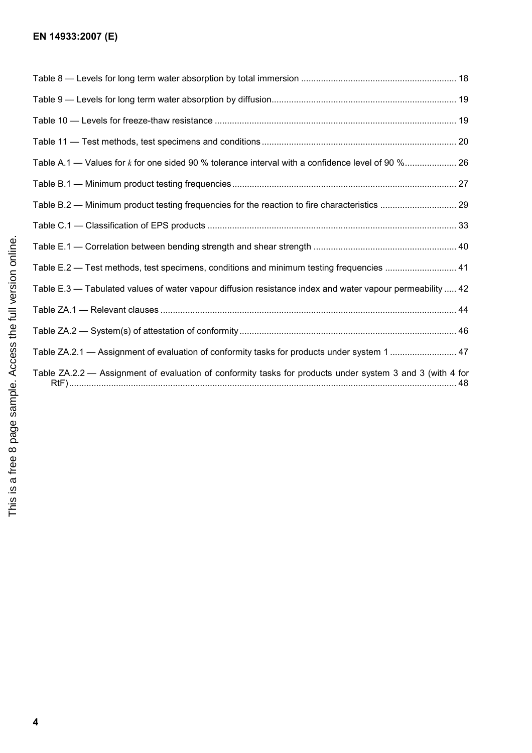| Table A.1 — Values for k for one sided 90 % tolerance interval with a confidence level of 90 % 26         |
|-----------------------------------------------------------------------------------------------------------|
|                                                                                                           |
|                                                                                                           |
|                                                                                                           |
|                                                                                                           |
| Table E.2 — Test methods, test specimens, conditions and minimum testing frequencies  41                  |
| Table E.3 - Tabulated values of water vapour diffusion resistance index and water vapour permeability  42 |
|                                                                                                           |
|                                                                                                           |
| Table ZA.2.1 — Assignment of evaluation of conformity tasks for products under system 1  47               |
| Table ZA.2.2 - Assignment of evaluation of conformity tasks for products under system 3 and 3 (with 4 for |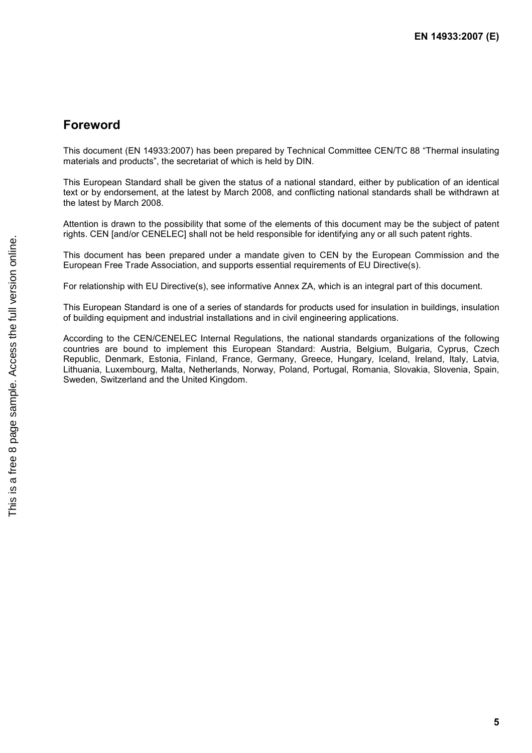### **Foreword**

This document (EN 14933:2007) has been prepared by Technical Committee CEN/TC 88 "Thermal insulating materials and products", the secretariat of which is held by DIN.

This European Standard shall be given the status of a national standard, either by publication of an identical text or by endorsement, at the latest by March 2008, and conflicting national standards shall be withdrawn at the latest by March 2008.

Attention is drawn to the possibility that some of the elements of this document may be the subject of patent rights. CEN [and/or CENELEC] shall not be held responsible for identifying any or all such patent rights.

This document has been prepared under a mandate given to CEN by the European Commission and the European Free Trade Association, and supports essential requirements of EU Directive(s).

For relationship with EU Directive(s), see informative Annex ZA, which is an integral part of this document.

This European Standard is one of a series of standards for products used for insulation in buildings, insulation of building equipment and industrial installations and in civil engineering applications.

According to the CEN/CENELEC Internal Regulations, the national standards organizations of the following countries are bound to implement this European Standard: Austria, Belgium, Bulgaria, Cyprus, Czech Republic, Denmark, Estonia, Finland, France, Germany, Greece, Hungary, Iceland, Ireland, Italy, Latvia, Lithuania, Luxembourg, Malta, Netherlands, Norway, Poland, Portugal, Romania, Slovakia, Slovenia, Spain, Sweden, Switzerland and the United Kingdom.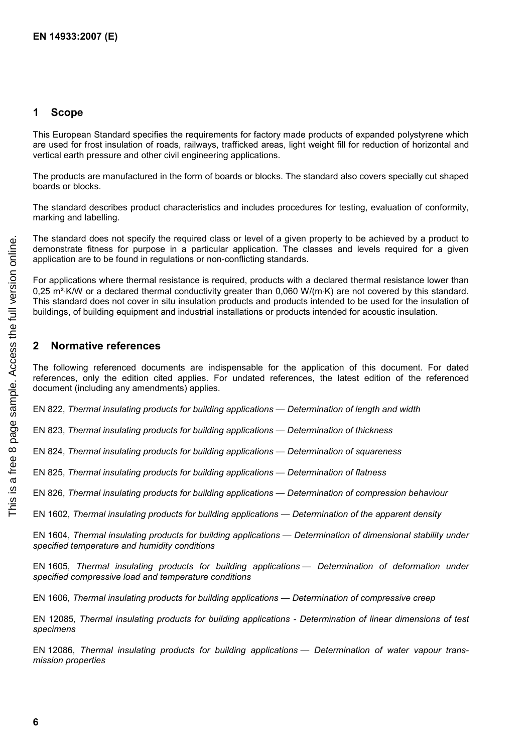#### **1 Scope**

This European Standard specifies the requirements for factory made products of expanded polystyrene which are used for frost insulation of roads, railways, trafficked areas, light weight fill for reduction of horizontal and vertical earth pressure and other civil engineering applications.

The products are manufactured in the form of boards or blocks. The standard also covers specially cut shaped boards or blocks.

The standard describes product characteristics and includes procedures for testing, evaluation of conformity, marking and labelling.

The standard does not specify the required class or level of a given property to be achieved by a product to demonstrate fitness for purpose in a particular application. The classes and levels required for a given application are to be found in regulations or non-conflicting standards.

For applications where thermal resistance is required, products with a declared thermal resistance lower than 0,25 m²⋅K/W or a declared thermal conductivity greater than 0,060 W/(m⋅K) are not covered by this standard. This standard does not cover in situ insulation products and products intended to be used for the insulation of buildings, of building equipment and industrial installations or products intended for acoustic insulation.

#### **2 Normative references**

The following referenced documents are indispensable for the application of this document. For dated references, only the edition cited applies. For undated references, the latest edition of the referenced document (including any amendments) applies.

EN 822, *Thermal insulating products for building applications — Determination of length and width*

EN 823, *Thermal insulating products for building applications — Determination of thickness*

EN 824, *Thermal insulating products for building applications — Determination of squareness*

EN 825, *Thermal insulating products for building applications — Determination of flatness*

EN 826, *Thermal insulating products for building applications — Determination of compression behaviour* 

EN 1602, *Thermal insulating products for building applications — Determination of the apparent density*

EN 1604, *Thermal insulating products for building applications — Determination of dimensional stability under specified temperature and humidity conditions*

EN 1605, *Thermal insulating products for building applications — Determination of deformation under specified compressive load and temperature conditions*

EN 1606, *Thermal insulating products for building applications — Determination of compressive creep* 

EN 12085*, Thermal insulating products for building applications - Determination of linear dimensions of test specimens*

EN 12086, *Thermal insulating products for building applications — Determination of water vapour transmission properties*